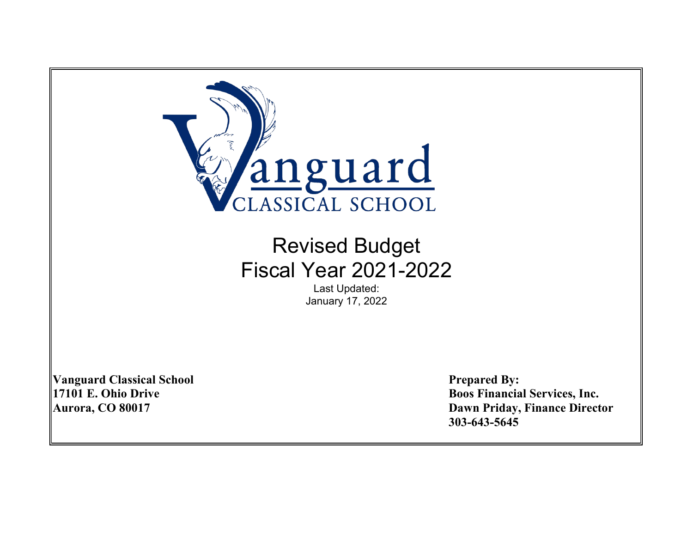

Last Updated: January 17, 2022

**Vanguard Classical School Prepared By:**

**17101 E. Ohio Drive Boos Financial Services, Inc. Aurora, CO 80017 Dawn Priday, Finance Director 303-643-5645**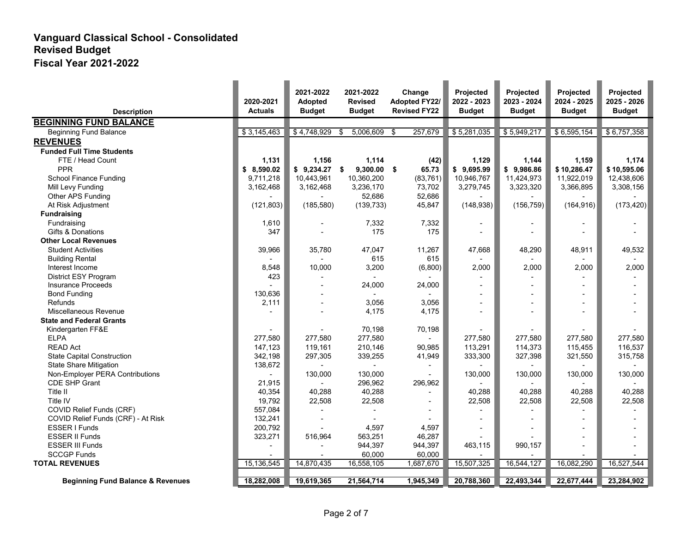| <b>Description</b>                           | 2020-2021<br><b>Actuals</b> | 2021-2022<br><b>Adopted</b><br><b>Budget</b> | 2021-2022<br><b>Revised</b><br><b>Budget</b> | Change<br><b>Adopted FY22/</b><br><b>Revised FY22</b> | <b>Projected</b><br>2022 - 2023<br><b>Budget</b> | Projected<br>2023 - 2024<br><b>Budget</b> | Projected<br>2024 - 2025<br><b>Budget</b> | Projected<br>2025 - 2026<br><b>Budget</b> |
|----------------------------------------------|-----------------------------|----------------------------------------------|----------------------------------------------|-------------------------------------------------------|--------------------------------------------------|-------------------------------------------|-------------------------------------------|-------------------------------------------|
| <b>BEGINNING FUND BALANCE</b>                |                             |                                              |                                              |                                                       |                                                  |                                           |                                           |                                           |
| <b>Beginning Fund Balance</b>                | \$3,145,463                 | \$4,748,929                                  | 5,006,609<br>\$                              | \$<br>257,679                                         | \$5,281,035                                      | \$5,949,217                               | \$6,595,154                               | \$6,757,358                               |
| <b>REVENUES</b>                              |                             |                                              |                                              |                                                       |                                                  |                                           |                                           |                                           |
| <b>Funded Full Time Students</b>             |                             |                                              |                                              |                                                       |                                                  |                                           |                                           |                                           |
| FTE / Head Count                             | 1.131                       | 1.156                                        | 1.114                                        | (42)                                                  | 1,129                                            | 1,144                                     | 1,159                                     | 1.174                                     |
| <b>PPR</b>                                   | \$8,590.02                  | $$9,234.27$ \$                               | $9,300.00$ \$                                | 65.73                                                 | \$9,695.99                                       | \$9,986.86                                | \$10,286.47                               | \$10,595.06                               |
| School Finance Funding                       | 9,711,218                   | 10,443,961                                   | 10,360,200                                   | (83, 761)                                             | 10,946,767                                       | 11,424,973                                | 11,922,019                                | 12,438,606                                |
| Mill Levy Funding                            | 3,162,468                   | 3,162,468                                    | 3,236,170                                    | 73,702                                                | 3,279,745                                        | 3,323,320                                 | 3,366,895                                 | 3,308,156                                 |
| Other APS Funding                            |                             |                                              | 52,686                                       | 52,686                                                |                                                  |                                           |                                           |                                           |
| At Risk Adjustment                           | (121, 803)                  | (185, 580)                                   | (139, 733)                                   | 45,847                                                | (148, 938)                                       | (156, 759)                                | (164, 916)                                | (173, 420)                                |
| <b>Fundraising</b>                           |                             |                                              |                                              |                                                       |                                                  |                                           |                                           |                                           |
| Fundraising                                  | 1,610                       |                                              | 7,332                                        | 7,332                                                 |                                                  |                                           |                                           |                                           |
| Gifts & Donations                            | 347                         |                                              | 175                                          | 175                                                   |                                                  |                                           |                                           |                                           |
| <b>Other Local Revenues</b>                  |                             |                                              |                                              |                                                       |                                                  |                                           |                                           |                                           |
| <b>Student Activities</b>                    | 39,966                      | 35,780                                       | 47.047                                       | 11,267                                                | 47,668                                           | 48,290                                    | 48,911                                    | 49,532                                    |
| <b>Building Rental</b>                       |                             |                                              | 615                                          | 615                                                   |                                                  |                                           |                                           |                                           |
| Interest Income                              | 8,548                       | 10,000                                       | 3,200                                        | (6,800)                                               | 2,000                                            | 2,000                                     | 2,000                                     | 2,000                                     |
| <b>District ESY Program</b>                  | 423                         |                                              |                                              |                                                       |                                                  |                                           |                                           |                                           |
| <b>Insurance Proceeds</b>                    |                             |                                              | 24,000                                       | 24,000                                                |                                                  |                                           |                                           |                                           |
| <b>Bond Funding</b>                          | 130,636                     |                                              |                                              |                                                       |                                                  | $\blacksquare$                            |                                           |                                           |
| Refunds                                      | 2,111                       |                                              | 3,056                                        | 3,056                                                 |                                                  |                                           |                                           |                                           |
| Miscellaneous Revenue                        |                             |                                              | 4,175                                        | 4,175                                                 |                                                  | $\blacksquare$                            |                                           |                                           |
| <b>State and Federal Grants</b>              |                             |                                              |                                              |                                                       |                                                  |                                           |                                           |                                           |
| Kindergarten FF&E                            |                             |                                              | 70,198                                       | 70,198                                                |                                                  |                                           |                                           |                                           |
| <b>ELPA</b>                                  | 277,580                     | 277,580                                      | 277,580                                      |                                                       | 277,580                                          | 277,580                                   | 277,580                                   | 277,580                                   |
| <b>READ Act</b>                              | 147,123                     | 119,161                                      | 210,146                                      | 90,985                                                | 113,291                                          | 114,373                                   | 115,455                                   | 116,537                                   |
| <b>State Capital Construction</b>            | 342,198                     | 297,305                                      | 339,255                                      | 41,949                                                | 333,300                                          | 327,398                                   | 321,550                                   | 315,758                                   |
| <b>State Share Mitigation</b>                | 138,672                     | $\blacksquare$                               | $\overline{\phantom{0}}$                     |                                                       |                                                  |                                           |                                           |                                           |
| Non-Employer PERA Contributions              |                             | 130,000                                      | 130,000                                      |                                                       | 130,000                                          | 130,000                                   | 130,000                                   | 130,000                                   |
| <b>CDE SHP Grant</b>                         | 21,915                      |                                              | 296,962                                      | 296,962                                               |                                                  |                                           |                                           |                                           |
| Title II                                     | 40,354                      | 40,288                                       | 40,288                                       |                                                       | 40,288                                           | 40,288                                    | 40,288                                    | 40,288                                    |
| Title IV                                     | 19,792                      | 22,508                                       | 22,508                                       |                                                       | 22,508                                           | 22,508                                    | 22,508                                    | 22,508                                    |
| COVID Relief Funds (CRF)                     | 557,084                     |                                              |                                              |                                                       |                                                  |                                           |                                           |                                           |
| COVID Relief Funds (CRF) - At Risk           | 132,241                     |                                              |                                              |                                                       |                                                  |                                           |                                           |                                           |
| ESSER I Funds                                | 200,792                     |                                              | 4,597                                        | 4,597                                                 |                                                  |                                           |                                           |                                           |
| <b>ESSER II Funds</b>                        | 323,271                     | 516,964                                      | 563,251                                      | 46,287                                                |                                                  |                                           |                                           |                                           |
| <b>ESSER III Funds</b>                       |                             |                                              | 944,397                                      | 944,397                                               | 463,115                                          | 990,157                                   |                                           |                                           |
| <b>SCCGP Funds</b>                           |                             |                                              | 60,000                                       | 60,000                                                |                                                  |                                           |                                           |                                           |
| <b>TOTAL REVENUES</b>                        | 15,136,545                  | 14,870,435                                   | 16,558,105                                   | 1,687,670                                             | 15,507,325                                       | 16,544,127                                | 16,082,290                                | 16,527,544                                |
| <b>Beginning Fund Balance &amp; Revenues</b> | 18,282,008                  | 19,619,365                                   | 21,564,714                                   | 1,945,349                                             | 20,788,360                                       | 22,493,344                                | 22,677,444                                | 23,284,902                                |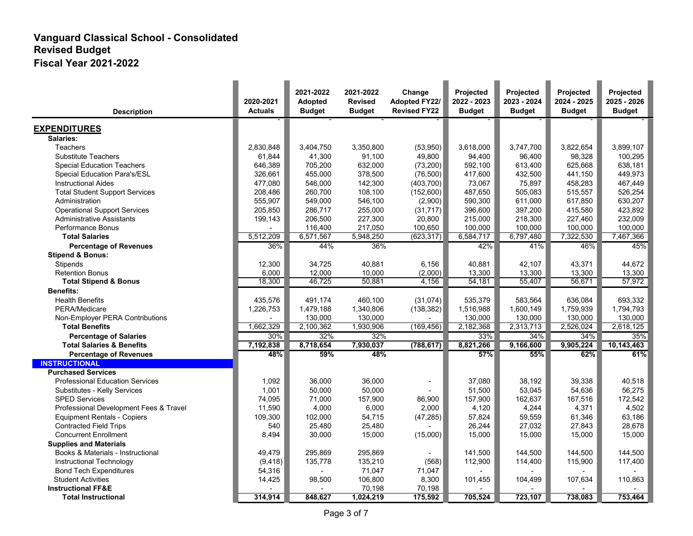| <b>Description</b>                     | 2020-2021<br><b>Actuals</b> | 2021-2022<br>Adopted<br><b>Budget</b> | 2021-2022<br><b>Revised</b><br><b>Budget</b> | Change<br><b>Adopted FY22/</b><br><b>Revised FY22</b> | Projected<br>2022 - 2023<br><b>Budget</b> | Projected<br>2023 - 2024<br><b>Budget</b> | Projected<br>2024 - 2025<br><b>Budget</b> | Projected<br>2025 - 2026<br><b>Budget</b> |
|----------------------------------------|-----------------------------|---------------------------------------|----------------------------------------------|-------------------------------------------------------|-------------------------------------------|-------------------------------------------|-------------------------------------------|-------------------------------------------|
| <b>EXPENDITURES</b>                    |                             |                                       |                                              |                                                       |                                           |                                           |                                           |                                           |
| Salaries:                              |                             |                                       |                                              |                                                       |                                           |                                           |                                           |                                           |
| <b>Teachers</b>                        | 2,830,848                   | 3,404,750                             | 3,350,800                                    | (53,950)                                              | 3,618,000                                 | 3,747,700                                 | 3,822,654                                 | 3,899,107                                 |
| <b>Substitute Teachers</b>             | 61,844                      | 41,300                                | 91,100                                       | 49,800                                                | 94,400                                    | 96,400                                    | 98,328                                    | 100,295                                   |
| <b>Special Education Teachers</b>      | 646,389                     | 705,200                               | 632,000                                      | (73, 200)                                             | 592,100                                   | 613,400                                   | 625,668                                   | 638,181                                   |
| Special Education Para's/ESL           | 326,661                     | 455,000                               | 378,500                                      | (76, 500)                                             | 417,600                                   | 432,500                                   | 441,150                                   | 449,973                                   |
| <b>Instructional Aides</b>             | 477,080                     | 546,000                               | 142,300                                      | (403, 700)                                            | 73,067                                    | 75,897                                    | 458,283                                   | 467,449                                   |
| <b>Total Student Support Services</b>  | 208.486                     | 260.700                               | 108,100                                      | (152,600)                                             | 487,650                                   | 505,083                                   | 515.557                                   | 526,254                                   |
| Administration                         | 555,907                     | 549,000                               | 546,100                                      | (2,900)                                               | 590,300                                   | 611,000                                   | 617,850                                   | 630,207                                   |
| <b>Operational Support Services</b>    | 205,850                     | 286,717                               | 255,000                                      | (31, 717)                                             | 396,600                                   | 397,200                                   | 415,580                                   | 423,892                                   |
| <b>Administrative Assistants</b>       | 199,143                     | 206,500                               | 227,300                                      | 20,800                                                | 215,000                                   | 218,300                                   | 227,460                                   | 232,009                                   |
| <b>Performance Bonus</b>               |                             | 116,400                               | 217,050                                      | 100,650                                               | 100,000                                   | 100,000                                   | 100,000                                   | 100,000                                   |
| <b>Total Salaries</b>                  | 5,512,209                   | 6,571,567                             | 5,948,250                                    | (623, 317)                                            | 6,584,717                                 | 6,797,480                                 | 7,322,530                                 | 7,467,366                                 |
| <b>Percentage of Revenues</b>          | 36%                         | 44%                                   | 36%                                          |                                                       | 42%                                       | 41%                                       | 46%                                       | 45%                                       |
| <b>Stipend &amp; Bonus:</b>            |                             |                                       |                                              |                                                       |                                           |                                           |                                           |                                           |
| Stipends                               | 12,300                      | 34,725                                | 40,881                                       | 6,156                                                 | 40.881                                    | 42.107                                    | 43,371                                    | 44,672                                    |
| <b>Retention Bonus</b>                 | 6,000                       | 12,000                                | 10,000                                       | (2,000)                                               | 13,300                                    | 13,300                                    | 13,300                                    | 13,300                                    |
| <b>Total Stipend &amp; Bonus</b>       | 18,300                      | 46,725                                | 50,881                                       | 4,156                                                 | 54,181                                    | 55.407                                    | 56.671                                    | 57,972                                    |
| <b>Benefits:</b>                       |                             |                                       |                                              |                                                       |                                           |                                           |                                           |                                           |
| <b>Health Benefits</b>                 | 435,576                     | 491,174                               | 460,100                                      | (31,074)                                              | 535,379                                   | 583,564                                   | 636,084                                   | 693,332                                   |
| PERA/Medicare                          | 1,226,753                   | 1,479,188                             | 1,340,806                                    | (138, 382)                                            | 1,516,988                                 | 1,600,149                                 | 1,759,939                                 | 1,794,793                                 |
| Non-Employer PERA Contributions        |                             | 130,000                               | 130,000                                      |                                                       | 130,000                                   | 130,000                                   | 130,000                                   | 130,000                                   |
| <b>Total Benefits</b>                  | 1,662,329                   | 2,100,362                             | 1,930,906                                    | (169, 456)                                            | 2,182,368                                 | 2,313,713                                 | 2,526,024                                 | 2,618,125                                 |
| <b>Percentage of Salaries</b>          | 30%                         | 32%                                   | 32%                                          |                                                       | 33%                                       | 34%                                       | 34%                                       | 35%                                       |
| <b>Total Salaries &amp; Benefits</b>   | 7,192,838                   | 8,718,654                             | 7,930,037                                    | (788, 617)                                            | 8,821,266                                 | 9,166,600                                 | 9,905,224                                 | 10,143,463                                |
| <b>Percentage of Revenues</b>          | 48%                         | 59%                                   | 48%                                          |                                                       | 57%                                       | 55%                                       | 62%                                       | 61%                                       |
| <b>INSTRUCTIONAL</b>                   |                             |                                       |                                              |                                                       |                                           |                                           |                                           |                                           |
| <b>Purchased Services</b>              |                             |                                       |                                              |                                                       |                                           |                                           |                                           |                                           |
| <b>Professional Education Services</b> | 1,092                       | 36,000                                | 36,000                                       |                                                       | 37.080                                    | 38.192                                    | 39.338                                    | 40,518                                    |
| Substitutes - Kelly Services           | 1,001                       | 50,000                                | 50,000                                       |                                                       | 51,500                                    | 53,045                                    | 54,636                                    | 56,275                                    |
| <b>SPED Services</b>                   | 74,095                      | 71,000                                | 157,900                                      | 86,900                                                | 157,900                                   | 162,637                                   | 167,516                                   | 172,542                                   |
| Professional Development Fees & Travel | 11,590                      | 4,000                                 | 6,000                                        | 2,000                                                 | 4,120                                     | 4,244                                     | 4,371                                     | 4,502                                     |
| <b>Equipment Rentals - Copiers</b>     | 109,300                     | 102,000                               | 54,715                                       | (47, 285)                                             | 57,824                                    | 59,559                                    | 61,346                                    | 63,186                                    |
| <b>Contracted Field Trips</b>          | 540                         | 25,480                                | 25,480                                       |                                                       | 26,244                                    | 27,032                                    | 27,843                                    | 28,678                                    |
| <b>Concurrent Enrollment</b>           | 8,494                       | 30,000                                | 15,000                                       | (15,000)                                              | 15,000                                    | 15,000                                    | 15,000                                    | 15,000                                    |
| <b>Supplies and Materials</b>          |                             |                                       |                                              |                                                       |                                           |                                           |                                           |                                           |
| Books & Materials - Instructional      | 49,479                      | 295,869                               | 295,869                                      |                                                       | 141,500                                   | 144,500                                   | 144,500                                   | 144,500                                   |
| Instructional Technology               | (9, 418)                    | 135,778                               | 135,210                                      | (568)                                                 | 112,900                                   | 114,400                                   | 115,900                                   | 117,400                                   |
| <b>Bond Tech Expenditures</b>          | 54,316                      |                                       | 71,047                                       | 71,047                                                |                                           |                                           |                                           |                                           |
| <b>Student Activities</b>              | 14,425                      | 98,500                                | 106,800                                      | 8,300                                                 | 101,455                                   | 104,499                                   | 107,634                                   | 110,863                                   |
| <b>Instructional FF&amp;E</b>          | 314,914                     | 848,627                               | 70,198<br>1,024,219                          | 70,198<br>175,592                                     | 705,524                                   | 723,107                                   | 738,083                                   | 753,464                                   |
| <b>Total Instructional</b>             |                             |                                       |                                              |                                                       |                                           |                                           |                                           |                                           |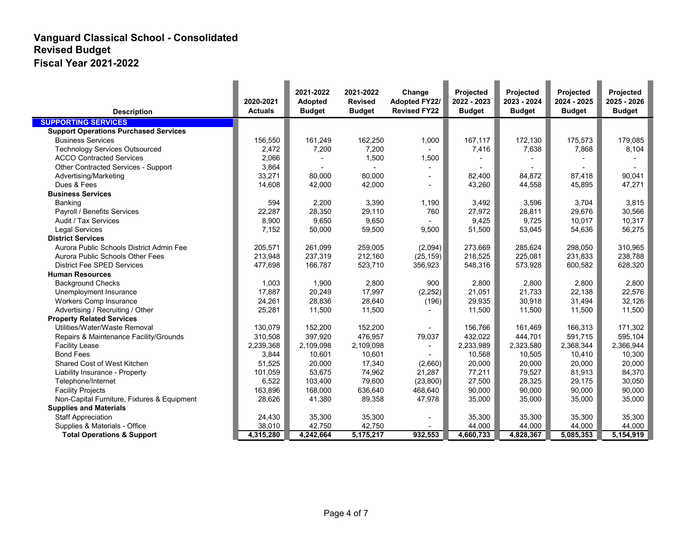| <b>Description</b>                           | 2020-2021<br><b>Actuals</b> | 2021-2022<br><b>Adopted</b><br><b>Budget</b> | 2021-2022<br><b>Revised</b><br><b>Budget</b> | Change<br><b>Adopted FY22/</b><br><b>Revised FY22</b> | Projected<br>2022 - 2023<br><b>Budget</b> | Projected<br>2023 - 2024<br><b>Budget</b> | Projected<br>2024 - 2025<br><b>Budget</b> | Projected<br>2025 - 2026<br><b>Budget</b> |
|----------------------------------------------|-----------------------------|----------------------------------------------|----------------------------------------------|-------------------------------------------------------|-------------------------------------------|-------------------------------------------|-------------------------------------------|-------------------------------------------|
| <b>SUPPORTING SERVICES</b>                   |                             |                                              |                                              |                                                       |                                           |                                           |                                           |                                           |
| <b>Support Operations Purchased Services</b> |                             |                                              |                                              |                                                       |                                           |                                           |                                           |                                           |
| <b>Business Services</b>                     | 156,550                     | 161,249                                      | 162,250                                      | 1,000                                                 | 167,117                                   | 172,130                                   | 175,573                                   | 179,085                                   |
| <b>Technology Services Outsourced</b>        | 2,472                       | 7,200                                        | 7,200                                        |                                                       | 7,416                                     | 7,638                                     | 7,868                                     | 8,104                                     |
| <b>ACCO Contracted Services</b>              | 2,066                       |                                              | 1,500                                        | 1,500                                                 |                                           |                                           |                                           |                                           |
| Other Contracted Services - Support          | 3,864                       |                                              |                                              |                                                       |                                           |                                           |                                           |                                           |
| Advertising/Marketing                        | 33,271                      | 80,000                                       | 80,000                                       |                                                       | 82,400                                    | 84,872                                    | 87,418                                    | 90,041                                    |
| Dues & Fees                                  | 14,608                      | 42,000                                       | 42,000                                       |                                                       | 43,260                                    | 44,558                                    | 45,895                                    | 47,271                                    |
| <b>Business Services</b>                     |                             |                                              |                                              |                                                       |                                           |                                           |                                           |                                           |
| <b>Banking</b>                               | 594                         | 2,200                                        | 3,390                                        | 1,190                                                 | 3,492                                     | 3,596                                     | 3,704                                     | 3,815                                     |
| Payroll / Benefits Services                  | 22,287                      | 28,350                                       | 29,110                                       | 760                                                   | 27,972                                    | 28,811                                    | 29,676                                    | 30,566                                    |
| Audit / Tax Services                         | 8,900                       | 9,650                                        | 9,650                                        |                                                       | 9,425                                     | 9,725                                     | 10,017                                    | 10,317                                    |
| <b>Legal Services</b>                        | 7,152                       | 50,000                                       | 59,500                                       | 9,500                                                 | 51,500                                    | 53,045                                    | 54,636                                    | 56,275                                    |
| <b>District Services</b>                     |                             |                                              |                                              |                                                       |                                           |                                           |                                           |                                           |
| Aurora Public Schools District Admin Fee     | 205,571                     | 261,099                                      | 259,005                                      | (2,094)                                               | 273,669                                   | 285,624                                   | 298,050                                   | 310,965                                   |
| Aurora Public Schools Other Fees             | 213.948                     | 237.319                                      | 212.160                                      | (25, 159)                                             | 218,525                                   | 225.081                                   | 231.833                                   | 238.788                                   |
| <b>District Fee SPED Services</b>            | 477,698                     | 166,787                                      | 523,710                                      | 356,923                                               | 548,316                                   | 573,928                                   | 600,582                                   | 628,320                                   |
| <b>Human Resources</b>                       |                             |                                              |                                              |                                                       |                                           |                                           |                                           |                                           |
| <b>Background Checks</b>                     | 1,003                       | 1,900                                        | 2,800                                        | 900                                                   | 2,800                                     | 2,800                                     | 2,800                                     | 2,800                                     |
| Unemployment Insurance                       | 17,887                      | 20,249                                       | 17,997                                       | (2, 252)                                              | 21,051                                    | 21,733                                    | 22,138                                    | 22,576                                    |
| <b>Workers Comp Insurance</b>                | 24,261                      | 28,836                                       | 28,640                                       | (196)                                                 | 29,935                                    | 30,918                                    | 31,494                                    | 32,126                                    |
| Advertising / Recruiting / Other             | 25,281                      | 11,500                                       | 11,500                                       |                                                       | 11,500                                    | 11,500                                    | 11,500                                    | 11,500                                    |
| <b>Property Related Services</b>             |                             |                                              |                                              |                                                       |                                           |                                           |                                           |                                           |
| Utilities/Water/Waste Removal                | 130,079                     | 152,200                                      | 152,200                                      |                                                       | 156,766                                   | 161,469                                   | 166,313                                   | 171,302                                   |
| Repairs & Maintenance Facility/Grounds       | 310,508                     | 397,920                                      | 476,957                                      | 79,037                                                | 432,022                                   | 444,701                                   | 591.715                                   | 595,104                                   |
| <b>Facility Lease</b>                        | 2,239,368                   | 2,109,098                                    | 2,109,098                                    |                                                       | 2,233,989                                 | 2,323,580                                 | 2,368,344                                 | 2,366,944                                 |
| <b>Bond Fees</b>                             | 3,844                       | 10,601                                       | 10,601                                       |                                                       | 10,568                                    | 10,505                                    | 10,410                                    | 10,300                                    |
| Shared Cost of West Kitchen                  | 51,525                      | 20,000                                       | 17,340                                       | (2,660)                                               | 20,000                                    | 20,000                                    | 20.000                                    | 20.000                                    |
| Liability Insurance - Property               | 101,059                     | 53,675                                       | 74,962                                       | 21,287                                                | 77,211                                    | 79,527                                    | 81,913                                    | 84,370                                    |
| Telephone/Internet                           | 6,522                       | 103,400                                      | 79,600                                       | (23, 800)                                             | 27,500                                    | 28,325                                    | 29,175                                    | 30,050                                    |
| <b>Facility Projects</b>                     | 163,896                     | 168,000                                      | 636,640                                      | 468,640                                               | 90,000                                    | 90,000                                    | 90,000                                    | 90,000                                    |
| Non-Capital Furniture, Fixtures & Equipment  | 28,626                      | 41,380                                       | 89,358                                       | 47,978                                                | 35,000                                    | 35,000                                    | 35,000                                    | 35,000                                    |
| <b>Supplies and Materials</b>                |                             |                                              |                                              |                                                       |                                           |                                           |                                           |                                           |
| <b>Staff Appreciation</b>                    | 24,430                      | 35,300                                       | 35,300                                       |                                                       | 35,300                                    | 35,300                                    | 35,300                                    | 35,300                                    |
| Supplies & Materials - Office                | 38,010                      | 42,750                                       | 42,750                                       |                                                       | 44,000                                    | 44,000                                    | 44,000                                    | 44,000                                    |
| <b>Total Operations &amp; Support</b>        | 4,315,280                   | 4,242,664                                    | 5,175,217                                    | 932,553                                               | 4,660,733                                 | 4,828,367                                 | 5,085,353                                 | 5,154,919                                 |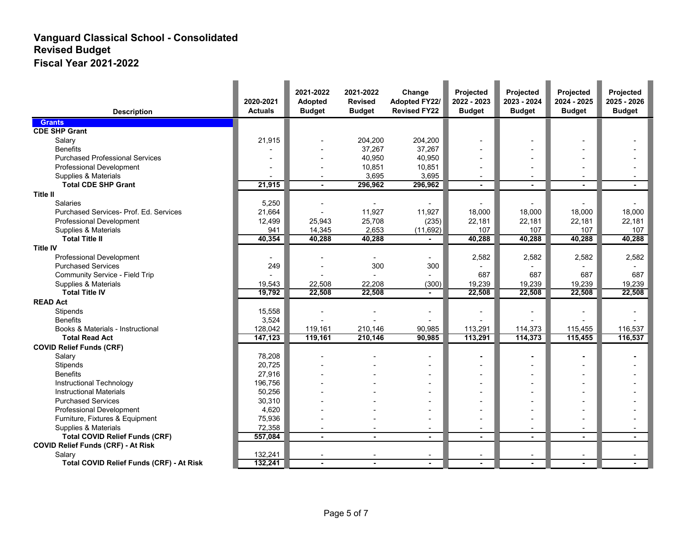| <b>Description</b>                              | 2020-2021<br><b>Actuals</b> | 2021-2022<br><b>Adopted</b><br><b>Budget</b> | 2021-2022<br><b>Revised</b><br><b>Budget</b> | Change<br><b>Adopted FY22/</b><br><b>Revised FY22</b> | Projected<br>2022 - 2023<br><b>Budget</b> | Projected<br>2023 - 2024<br><b>Budget</b> | Projected<br>2024 - 2025<br><b>Budget</b> | Projected<br>2025 - 2026<br><b>Budget</b> |
|-------------------------------------------------|-----------------------------|----------------------------------------------|----------------------------------------------|-------------------------------------------------------|-------------------------------------------|-------------------------------------------|-------------------------------------------|-------------------------------------------|
| <b>Grants</b>                                   |                             |                                              |                                              |                                                       |                                           |                                           |                                           |                                           |
| <b>CDE SHP Grant</b>                            |                             |                                              |                                              |                                                       |                                           |                                           |                                           |                                           |
| Salary                                          | 21,915                      |                                              | 204,200                                      | 204,200                                               |                                           |                                           |                                           |                                           |
| <b>Benefits</b>                                 |                             |                                              | 37,267                                       | 37,267                                                |                                           |                                           |                                           |                                           |
| <b>Purchased Professional Services</b>          |                             |                                              | 40,950                                       | 40,950                                                |                                           |                                           |                                           |                                           |
| Professional Development                        |                             |                                              | 10,851                                       | 10,851                                                |                                           |                                           |                                           |                                           |
| Supplies & Materials                            |                             |                                              | 3,695                                        | 3,695                                                 |                                           |                                           |                                           |                                           |
| <b>Total CDE SHP Grant</b>                      | 21,915                      | $\overline{a}$                               | 296,962                                      | 296,962                                               | $\sim$                                    | $\sim$                                    | $\blacksquare$                            |                                           |
| <b>Title II</b>                                 |                             |                                              |                                              |                                                       |                                           |                                           |                                           |                                           |
| <b>Salaries</b>                                 | 5,250                       |                                              |                                              |                                                       |                                           |                                           |                                           |                                           |
| Purchased Services- Prof. Ed. Services          | 21,664                      | $\overline{a}$                               | 11,927                                       | 11,927                                                | 18,000                                    | 18,000                                    | 18.000                                    | 18,000                                    |
| <b>Professional Development</b>                 | 12,499                      | 25,943                                       | 25,708                                       | (235)                                                 | 22,181                                    | 22,181                                    | 22,181                                    | 22,181                                    |
| Supplies & Materials                            | 941                         | 14,345                                       | 2,653                                        | (11, 692)                                             | 107                                       | 107                                       | 107                                       | 107                                       |
| <b>Total Title II</b>                           | 40,354                      | 40,288                                       | 40,288                                       |                                                       | 40,288                                    | 40,288                                    | 40,288                                    | 40,288                                    |
| <b>Title IV</b>                                 |                             |                                              |                                              |                                                       |                                           |                                           |                                           |                                           |
| Professional Development                        |                             |                                              |                                              |                                                       | 2,582                                     | 2,582                                     | 2,582                                     | 2,582                                     |
| <b>Purchased Services</b>                       | 249                         |                                              | 300                                          | 300                                                   |                                           |                                           |                                           |                                           |
| Community Service - Field Trip                  |                             |                                              |                                              |                                                       | 687                                       | 687                                       | 687                                       | 687                                       |
| Supplies & Materials                            | 19,543                      | 22,508                                       | 22,208                                       | (300)                                                 | 19,239                                    | 19,239                                    | 19,239                                    | 19,239                                    |
| <b>Total Title IV</b>                           | 19,792                      | 22,508                                       | 22,508                                       |                                                       | 22,508                                    | 22,508                                    | 22,508                                    | 22,508                                    |
| <b>READ Act</b>                                 |                             |                                              |                                              |                                                       |                                           |                                           |                                           |                                           |
| Stipends                                        | 15,558                      |                                              |                                              |                                                       |                                           |                                           |                                           |                                           |
| <b>Benefits</b>                                 | 3,524                       |                                              |                                              |                                                       |                                           |                                           |                                           |                                           |
| Books & Materials - Instructional               | 128,042                     | 119,161                                      | 210,146                                      | 90,985                                                | 113,291                                   | 114,373                                   | 115,455                                   | 116,537                                   |
| <b>Total Read Act</b>                           | 147,123                     | 119,161                                      | 210,146                                      | 90,985                                                | 113,291                                   | 114,373                                   | 115,455                                   | 116,537                                   |
| <b>COVID Relief Funds (CRF)</b>                 |                             |                                              |                                              |                                                       |                                           |                                           |                                           |                                           |
| Salary                                          | 78,208                      |                                              |                                              |                                                       |                                           |                                           |                                           |                                           |
| Stipends                                        | 20,725                      |                                              |                                              |                                                       |                                           |                                           |                                           |                                           |
| <b>Benefits</b>                                 | 27,916                      |                                              |                                              |                                                       |                                           |                                           |                                           |                                           |
| Instructional Technology                        | 196,756                     |                                              |                                              |                                                       |                                           |                                           |                                           |                                           |
| <b>Instructional Materials</b>                  | 50,256                      |                                              |                                              |                                                       |                                           |                                           |                                           |                                           |
| <b>Purchased Services</b>                       | 30,310                      |                                              |                                              |                                                       |                                           |                                           |                                           |                                           |
| <b>Professional Development</b>                 | 4,620                       |                                              |                                              |                                                       |                                           |                                           |                                           |                                           |
| Furniture, Fixtures & Equipment                 | 75,936                      |                                              |                                              |                                                       |                                           |                                           |                                           |                                           |
| Supplies & Materials                            | 72,358                      |                                              |                                              | $\blacksquare$                                        |                                           |                                           |                                           |                                           |
| <b>Total COVID Relief Funds (CRF)</b>           | 557,084                     | ä,                                           | $\blacksquare$                               | ä,                                                    |                                           |                                           |                                           |                                           |
| <b>COVID Relief Funds (CRF) - At Risk</b>       |                             |                                              |                                              |                                                       |                                           |                                           |                                           |                                           |
| Salary                                          | 132,241                     |                                              |                                              |                                                       |                                           |                                           |                                           |                                           |
| <b>Total COVID Relief Funds (CRF) - At Risk</b> | 132,241                     | $\blacksquare$                               | $\blacksquare$                               | $\blacksquare$                                        |                                           |                                           |                                           |                                           |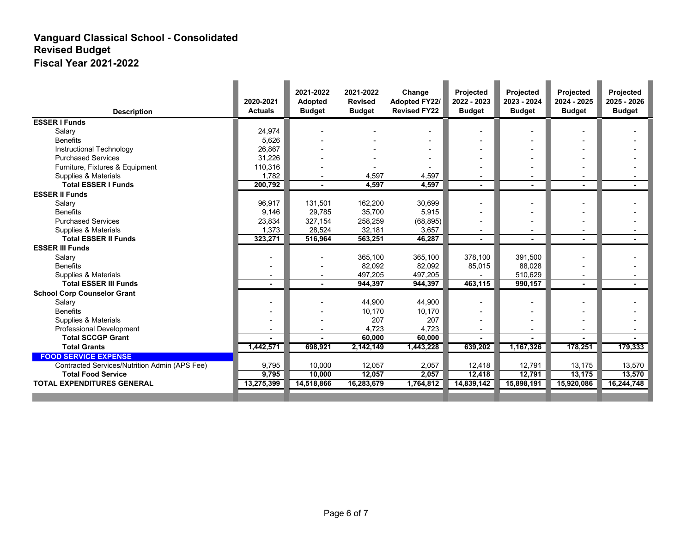| <b>Description</b>                            | 2020-2021<br><b>Actuals</b> | 2021-2022<br><b>Adopted</b><br><b>Budget</b> | 2021-2022<br><b>Revised</b><br><b>Budget</b> | Change<br><b>Adopted FY22/</b><br><b>Revised FY22</b> | Projected<br>2022 - 2023<br><b>Budget</b> | Projected<br>2023 - 2024<br><b>Budget</b> | Projected<br>2024 - 2025<br><b>Budget</b> | Projected<br>2025 - 2026<br><b>Budget</b> |
|-----------------------------------------------|-----------------------------|----------------------------------------------|----------------------------------------------|-------------------------------------------------------|-------------------------------------------|-------------------------------------------|-------------------------------------------|-------------------------------------------|
| <b>ESSER I Funds</b>                          |                             |                                              |                                              |                                                       |                                           |                                           |                                           |                                           |
| Salary                                        | 24,974                      |                                              |                                              |                                                       |                                           |                                           |                                           |                                           |
| <b>Benefits</b>                               | 5,626                       |                                              |                                              |                                                       |                                           |                                           |                                           |                                           |
| Instructional Technology                      | 26,867                      |                                              |                                              |                                                       |                                           |                                           |                                           |                                           |
| <b>Purchased Services</b>                     | 31,226                      |                                              |                                              |                                                       |                                           |                                           |                                           |                                           |
| Furniture, Fixtures & Equipment               | 110,316                     |                                              |                                              |                                                       |                                           |                                           |                                           |                                           |
| Supplies & Materials                          | 1,782                       | $\overline{\phantom{a}}$                     | 4,597                                        | 4,597                                                 |                                           | $\overline{\phantom{a}}$                  | $\overline{\phantom{0}}$                  |                                           |
| <b>Total ESSER I Funds</b>                    | 200,792                     |                                              | 4,597                                        | 4,597                                                 | $\blacksquare$                            |                                           | $\blacksquare$                            |                                           |
| <b>ESSER II Funds</b>                         |                             |                                              |                                              |                                                       |                                           |                                           |                                           |                                           |
| Salary                                        | 96,917                      | 131,501                                      | 162,200                                      | 30,699                                                |                                           |                                           |                                           |                                           |
| <b>Benefits</b>                               | 9,146                       | 29,785                                       | 35,700                                       | 5,915                                                 |                                           |                                           |                                           |                                           |
| <b>Purchased Services</b>                     | 23,834                      | 327,154                                      | 258,259                                      | (68, 895)                                             |                                           |                                           |                                           |                                           |
| Supplies & Materials                          | 1,373                       | 28,524                                       | 32,181                                       | 3,657                                                 |                                           |                                           |                                           |                                           |
| <b>Total ESSER II Funds</b>                   | 323,271                     | 516,964                                      | 563,251                                      | 46,287                                                | $\blacksquare$                            |                                           |                                           |                                           |
| <b>ESSER III Funds</b>                        |                             |                                              |                                              |                                                       |                                           |                                           |                                           |                                           |
| Salary                                        |                             |                                              | 365,100                                      | 365,100                                               | 378,100                                   | 391,500                                   |                                           |                                           |
| <b>Benefits</b>                               |                             |                                              | 82,092                                       | 82,092                                                | 85,015                                    | 88,028                                    |                                           |                                           |
| Supplies & Materials                          |                             |                                              | 497.205                                      | 497.205                                               |                                           | 510.629                                   |                                           |                                           |
| <b>Total ESSER III Funds</b>                  | $\blacksquare$              |                                              | 944,397                                      | 944,397                                               | 463,115                                   | 990,157                                   | $\blacksquare$                            |                                           |
| <b>School Corp Counselor Grant</b>            |                             |                                              |                                              |                                                       |                                           |                                           |                                           |                                           |
| Salary                                        |                             |                                              | 44,900                                       | 44,900                                                |                                           |                                           |                                           |                                           |
| <b>Benefits</b>                               |                             |                                              | 10,170                                       | 10,170                                                |                                           |                                           |                                           |                                           |
| Supplies & Materials                          |                             |                                              | 207                                          | 207                                                   |                                           |                                           |                                           |                                           |
| Professional Development                      |                             |                                              | 4,723                                        | 4,723                                                 |                                           |                                           |                                           |                                           |
| <b>Total SCCGP Grant</b>                      |                             |                                              | 60,000                                       | 60,000                                                |                                           |                                           |                                           |                                           |
| <b>Total Grants</b>                           | 1,442,571                   | 698,921                                      | 2,142,149                                    | 1,443,228                                             | 639,202                                   | 1,167,326                                 | 178,251                                   | 179,333                                   |
| <b>FOOD SERVICE EXPENSE</b>                   |                             |                                              |                                              |                                                       |                                           |                                           |                                           |                                           |
| Contracted Services/Nutrition Admin (APS Fee) | 9,795                       | 10,000                                       | 12,057                                       | 2,057                                                 | 12,418                                    | 12,791                                    | 13,175                                    | 13,570                                    |
| <b>Total Food Service</b>                     | 9,795                       | 10,000                                       | 12,057                                       | 2,057                                                 | 12,418                                    | 12,791                                    | 13,175                                    | 13,570                                    |
| <b>TOTAL EXPENDITURES GENERAL</b>             | 13,275,399                  | 14,518,866                                   | 16,283,679                                   | 1,764,812                                             | 14,839,142                                | 15,898,191                                | 15,920,086                                | 16,244,748                                |
|                                               |                             |                                              |                                              |                                                       |                                           |                                           |                                           |                                           |